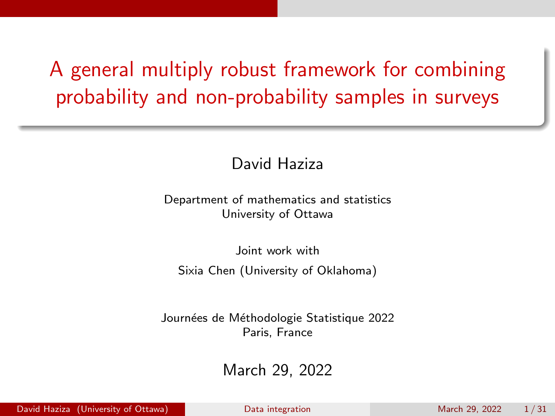# <span id="page-0-0"></span>A general multiply robust framework for combining probability and non-probability samples in surveys

David Haziza

Department of mathematics and statistics University of Ottawa

Joint work with Sixia Chen (University of Oklahoma)

Journées de Méthodologie Statistique 2022 Paris, France

March 29, 2022

David Haziza (University of Ottawa) [Data integration](#page-30-0) March 29, 2022 1/31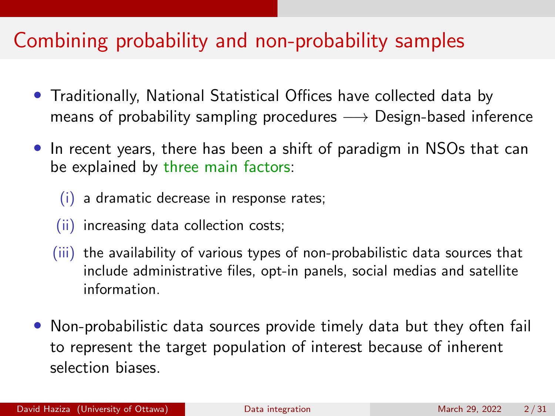### Combining probability and non-probability samples

- Traditionally, National Statistical Offices have collected data by means of probability sampling procedures  $\longrightarrow$  Design-based inference
- In recent years, there has been a shift of paradigm in NSOs that can be explained by three main factors:
	- (i) a dramatic decrease in response rates;
	- (ii) increasing data collection costs;
	- (iii) the availability of various types of non-probabilistic data sources that include administrative files, opt-in panels, social medias and satellite information.
- Non-probabilistic data sources provide timely data but they often fail to represent the target population of interest because of inherent selection biases.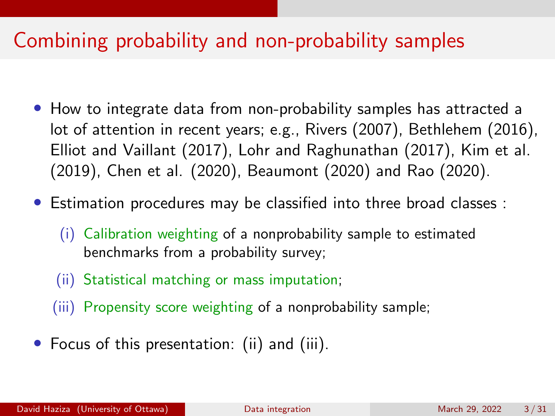### Combining probability and non-probability samples

- How to integrate data from non-probability samples has attracted a lot of attention in recent years; e.g., Rivers (2007), Bethlehem (2016), Elliot and Vaillant (2017), Lohr and Raghunathan (2017), Kim et al. (2019), Chen et al. (2020), Beaumont (2020) and Rao (2020).
- Estimation procedures may be classified into three broad classes :
	- (i) Calibration weighting of a nonprobability sample to estimated benchmarks from a probability survey;
	- (ii) Statistical matching or mass imputation;
	- (iii) Propensity score weighting of a nonprobability sample;
- Focus of this presentation: (ii) and (iii).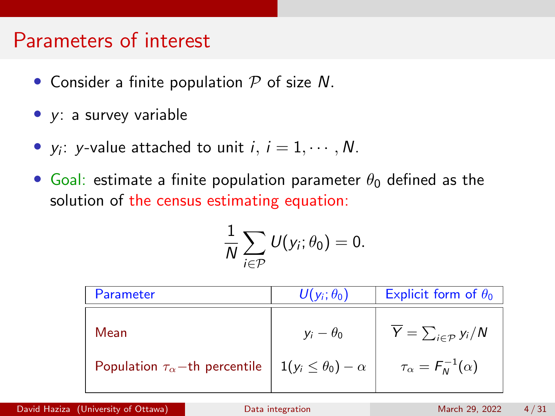#### Parameters of interest

- Consider a finite population  $P$  of size N.
- y: a survey variable
- $y_i$ : y-value attached to unit  $i, i = 1, \cdots, N$ .
- Goal: estimate a finite population parameter  $\theta_0$  defined as the solution of the census estimating equation:

$$
\frac{1}{N}\sum_{i\in\mathcal{P}}U(y_i;\theta_0)=0.
$$

| Parameter                                                                                       | $U(y_i;\theta_0)$ | Explicit form of $\theta_0$                                                             |
|-------------------------------------------------------------------------------------------------|-------------------|-----------------------------------------------------------------------------------------|
| Mean<br>Population $\tau_{\alpha}$ -th percentile $\left  1(y_i \le \theta_0) - \alpha \right $ | $y_i - \theta_0$  | $\overline{Y} = \sum_{i \in \mathcal{P}} y_i/N$<br>$\tau_{\alpha} = F_{N}^{-1}(\alpha)$ |
|                                                                                                 |                   |                                                                                         |

David Haziza (University of Ottawa) [Data integration](#page-0-0) Data integration March 29, 2022 4/31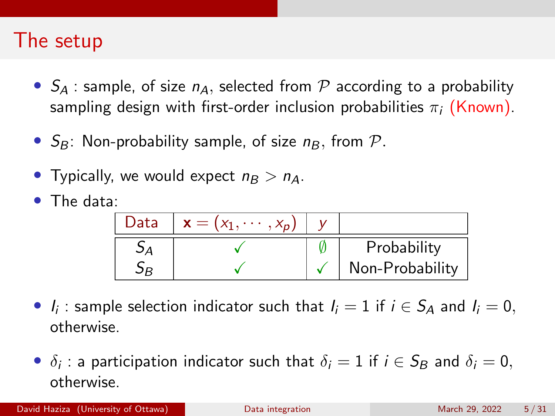#### The setup

- $S_A$ : sample, of size  $n_A$ , selected from P according to a probability sampling design with first-order inclusion probabilities  $\pi_i$  (Known).
- $S_B$ : Non-probability sample, of size  $n_B$ , from  $P$ .
- Typically, we would expect  $n_B > n_A$ .
- The data:

| Data | $\mathbf{x} = (x_1, \cdots, x_n)$ |                 |
|------|-----------------------------------|-----------------|
|      |                                   | Probability     |
|      |                                   | Non-Probability |

- $I_i$ : sample selection indicator such that  $I_i = 1$  if  $i \in S_A$  and  $I_i = 0$ , otherwise.
- $\delta_i$ : a participation indicator such that  $\delta_i = 1$  if  $i \in S_B$  and  $\delta_i = 0$ , otherwise.

David Haziza (University of Ottawa) [Data integration](#page-0-0) March 29, 2022 5/31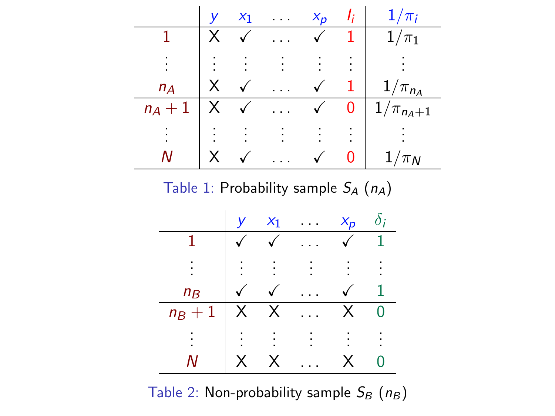

Table 1: Probability sample  $S_A(n_A)$ 



Table 2: Non-probability sample  $S_B(n_B)$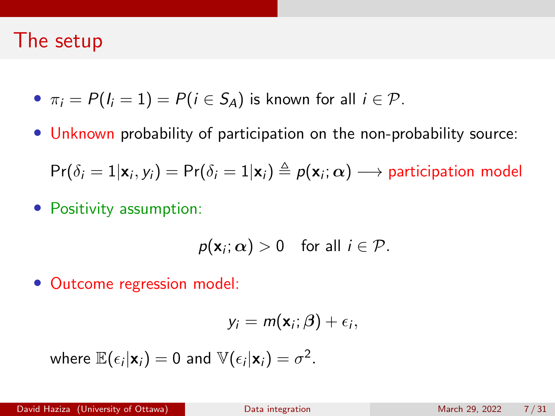#### The setup

- $\pi_i = P(I_i = 1) = P(i \in S_A)$  is known for all  $i \in \mathcal{P}$ .
- Unknown probability of participation on the non-probability source:

 $\mathsf{Pr}(\delta_i=1|\mathbf{x}_i,y_i)=\mathsf{Pr}(\delta_i=1|\mathbf{x}_i)\triangleq p(\mathbf{x}_i;\boldsymbol{\alpha})\longrightarrow \mathsf{participation model}$ 

• Positivity assumption:

$$
p(\mathbf{x}_i; \alpha) > 0 \quad \text{for all } i \in \mathcal{P}.
$$

• Outcome regression model:

$$
y_i = m(\mathbf{x}_i; \boldsymbol{\beta}) + \epsilon_i,
$$

where 
$$
\mathbb{E}(\epsilon_i|\mathbf{x}_i) = 0
$$
 and  $\mathbb{V}(\epsilon_i|\mathbf{x}_i) = \sigma^2$ .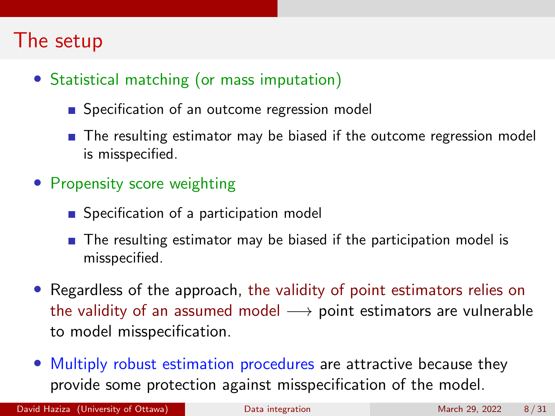### The setup

- Statistical matching (or mass imputation)
	- Specification of an outcome regression model
	- **The resulting estimator may be biased if the outcome regression model** is misspecified.
- Propensity score weighting
	- Specification of a participation model
	- $\blacksquare$  The resulting estimator may be biased if the participation model is misspecified.
- Regardless of the approach, the validity of point estimators relies on the validity of an assumed model  $\rightarrow$  point estimators are vulnerable to model misspecification.
- Multiply robust estimation procedures are attractive because they provide some protection against misspecification of the model.

David Haziza (University of Ottawa) [Data integration](#page-0-0) March 29, 2022 8/31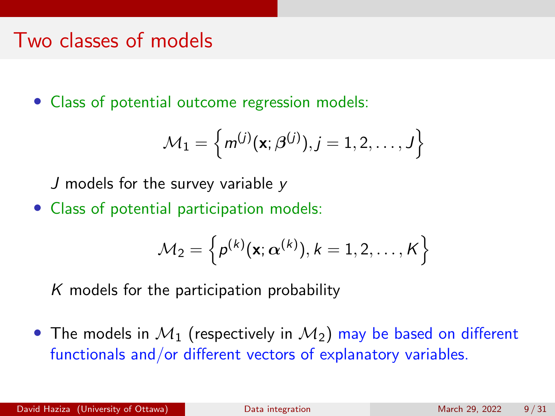#### Two classes of models

• Class of potential outcome regression models:

$$
\mathcal{M}_1 = \left\{ m^{(j)}(\mathbf{x}; \boldsymbol{\beta}^{(j)}), j = 1, 2, \ldots, J \right\}
$$

J models for the survey variable y

• Class of potential participation models:

$$
\mathcal{M}_2 = \left\{ \rho^{(k)}(\mathbf{x}; \boldsymbol{\alpha}^{(k)}), k=1,2,\ldots,K \right\}
$$

 $K$  models for the participation probability

• The models in  $\mathcal{M}_1$  (respectively in  $\mathcal{M}_2$ ) may be based on different functionals and/or different vectors of explanatory variables.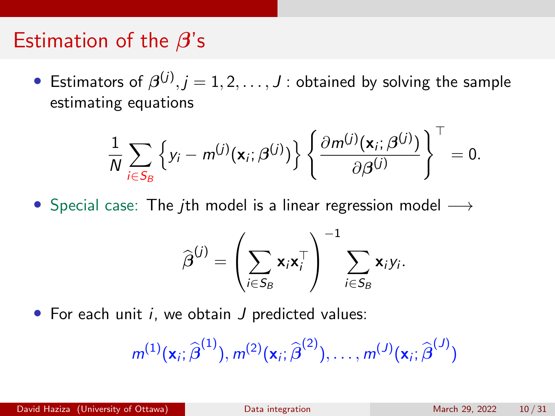#### Estimation of the  $\beta$ 's

 $\bullet$  Estimators of  $\boldsymbol{\beta}^{(j)}, j=1,2,\ldots,J$  : obtained by solving the sample estimating equations

$$
\frac{1}{N}\sum_{i\in S_B}\left\{y_i-m^{(j)}(\mathbf{x}_i;\boldsymbol{\beta}^{(j)})\right\}\left\{\frac{\partial m^{(j)}(\mathbf{x}_i;\boldsymbol{\beta}^{(j)})}{\partial\boldsymbol{\beta}^{(j)}}\right\}^{\top}=0.
$$

• Special case: The *j*th model is a linear regression model  $\longrightarrow$ 

$$
\widehat{\boldsymbol{\beta}}^{(j)} = \left(\sum_{i \in S_B} \mathbf{x}_i \mathbf{x}_i^\top\right)^{-1} \sum_{i \in S_B} \mathbf{x}_i y_i.
$$

• For each unit  $i$ , we obtain  $J$  predicted values:

$$
m^{(1)}(\mathbf{x}_i;\widehat{\boldsymbol{\beta}}^{(1)}),m^{(2)}(\mathbf{x}_i;\widehat{\boldsymbol{\beta}}^{(2)}),\ldots,m^{(J)}(\mathbf{x}_i;\widehat{\boldsymbol{\beta}}^{(J)})
$$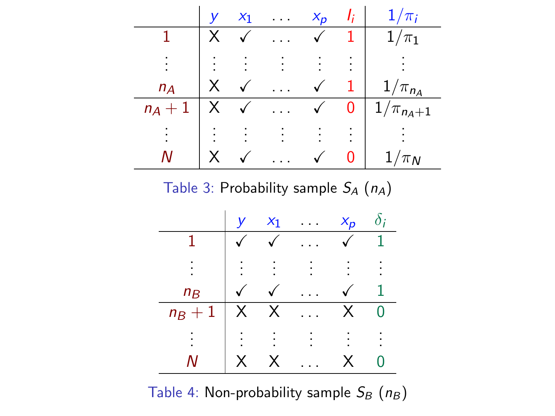

Table 3: Probability sample  $S_A(n_A)$ 



Table 4: Non-probability sample  $S_B(n_B)$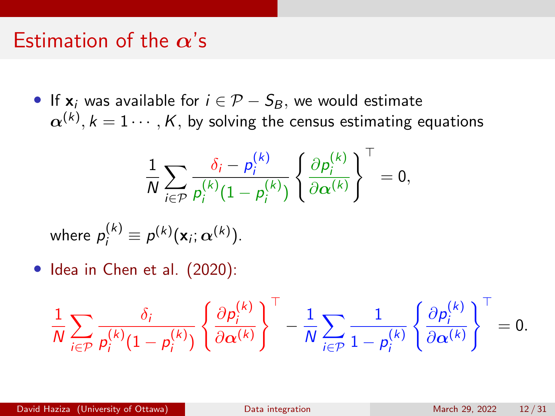#### Estimation of the  $\alpha$ 's

• If  $x_i$  was available for  $i \in \mathcal{P} - S_B$ , we would estimate  $\boldsymbol{\alpha}^{(k)}, k=1\cdots,K,$  by solving the census estimating equations

$$
\frac{1}{N}\sum_{i\in\mathcal{P}}\frac{\delta_i-p_i^{(k)}}{p_i^{(k)}(1-p_i^{(k)})}\left\{\frac{\partial p_i^{(k)}}{\partial\alpha^{(k)}}\right\}^{\top}=0,
$$

where 
$$
p_i^{(k)} \equiv p^{(k)}(\mathbf{x}_i; \alpha^{(k)})
$$
.

• Idea in Chen et al. (2020):

$$
\frac{1}{N}\sum_{i\in\mathcal{P}}\frac{\delta_i}{p_i^{(k)}(1-p_i^{(k)})}\left\{\frac{\partial p_i^{(k)}}{\partial\alpha^{(k)}}\right\}^\top-\frac{1}{N}\sum_{i\in\mathcal{P}}\frac{1}{1-p_i^{(k)}}\left\{\frac{\partial p_i^{(k)}}{\partial\alpha^{(k)}}\right\}^\top=0.
$$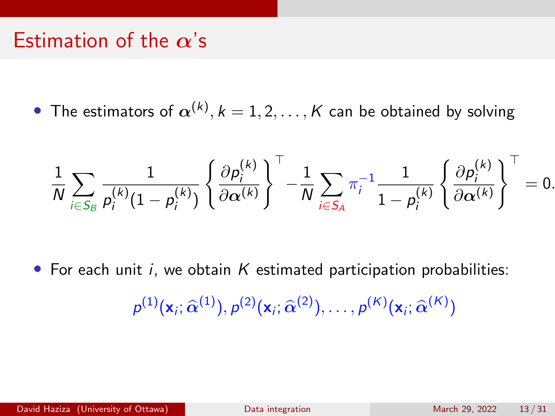### Estimation of the  $\alpha$ 's

 $\bullet\,$  The estimators of  $\boldsymbol{\alpha}^{(k)}, k=1,2,\ldots,K$  can be obtained by solving

$$
\frac{1}{N}\sum_{i\in S_B}\frac{1}{p_i^{(k)}(1-p_i^{(k)})}\left\{\frac{\partial p_i^{(k)}}{\partial \boldsymbol{\alpha}^{(k)}}\right\}^\top -\frac{1}{N}\sum_{i\in S_A}\pi_i^{-1}\frac{1}{1-p_i^{(k)}}\left\{\frac{\partial p_i^{(k)}}{\partial \boldsymbol{\alpha}^{(k)}}\right\}^\top=0.
$$

• For each unit i, we obtain  $K$  estimated participation probabilities:

$$
p^{(1)}(\mathbf{x}_i;\widehat{\alpha}^{(1)}),p^{(2)}(\mathbf{x}_i;\widehat{\alpha}^{(2)}),\ldots,p^{(K)}(\mathbf{x}_i;\widehat{\alpha}^{(K)})
$$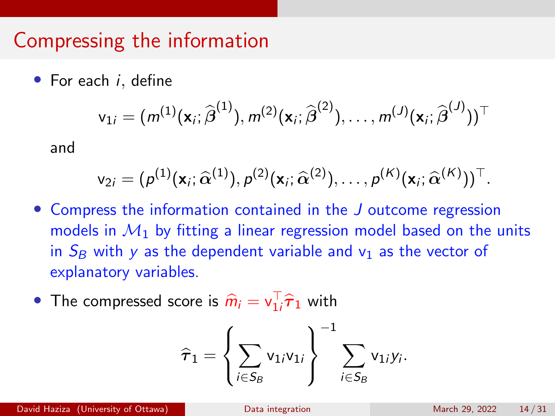### Compressing the information

• For each *i*, define

$$
\mathsf{v}_{1i}=(m^{(1)}(\mathbf{x}_i;\widehat{\boldsymbol{\beta}}^{(1)}),m^{(2)}(\mathbf{x}_i;\widehat{\boldsymbol{\beta}}^{(2)}),\ldots,m^{(J)}(\mathbf{x}_i;\widehat{\boldsymbol{\beta}}^{(J)}))^\top
$$

and

$$
\mathsf{v}_{2i}=(p^{(1)}(\mathbf{x}_i;\widehat{\alpha}^{(1)}),p^{(2)}(\mathbf{x}_i;\widehat{\alpha}^{(2)}),\ldots,p^{(K)}(\mathbf{x}_i;\widehat{\alpha}^{(K)}))^\top.
$$

- Compress the information contained in the J outcome regression models in  $M_1$  by fitting a linear regression model based on the units in  $S_B$  with y as the dependent variable and  $v_1$  as the vector of explanatory variables.
- The compressed score is  $\widehat{m}_i = \mathsf{v}_{1i}^\top \widehat{\tau}_1$  with

$$
\widehat{\tau}_1 = \left\{ \sum_{i \in S_B} \mathsf{v}_{1i} \mathsf{v}_{1i} \right\}^{-1} \sum_{i \in S_B} \mathsf{v}_{1i} \mathsf{y}_i.
$$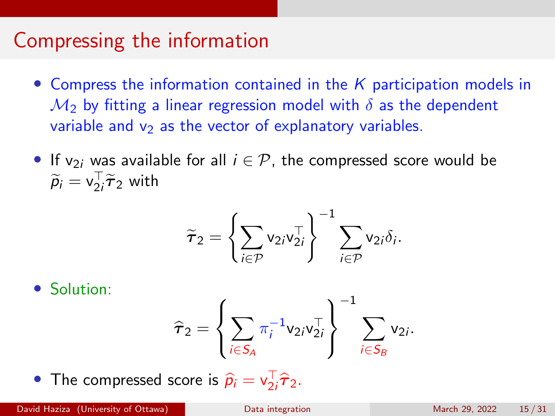### Compressing the information

- Compress the information contained in the  $K$  participation models in  $\mathcal{M}_2$  by fitting a linear regression model with  $\delta$  as the dependent variable and  $v_2$  as the vector of explanatory variables.
- If  $v_{2i}$  was available for all  $i \in \mathcal{P}$ , the compressed score would be  $\widetilde{p}_i = \mathsf{v}_{2i}^\top \widetilde{\boldsymbol{\tau}}_2$  with

$$
\widetilde{\boldsymbol{\tau}}_2 = \left\{ \sum_{i \in \mathcal{P}} \mathsf{v}_{2i} \mathsf{v}_{2i}^\top \right\}^{-1} \sum_{i \in \mathcal{P}} \mathsf{v}_{2i} \delta_i.
$$

• Solution:

$$
\widehat{\tau}_2 = \left\{ \sum_{i \in S_A} \pi_i^{-1} v_{2i} v_{2i}^\top \right\}^{-1} \sum_{i \in S_B} v_{2i}.
$$

• The compressed score is  $\hat{p}_i = v_{2i}^\top \hat{\tau}_2$ .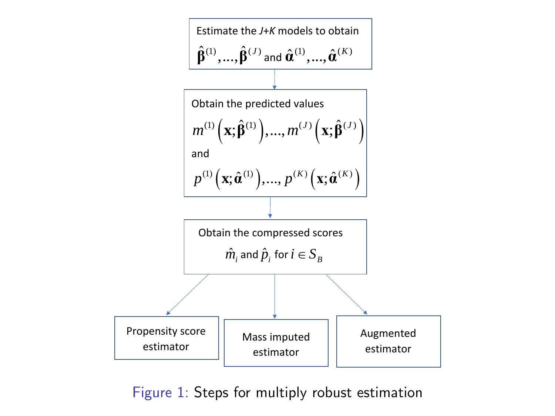

Figure 1: Steps for multiply robust estimation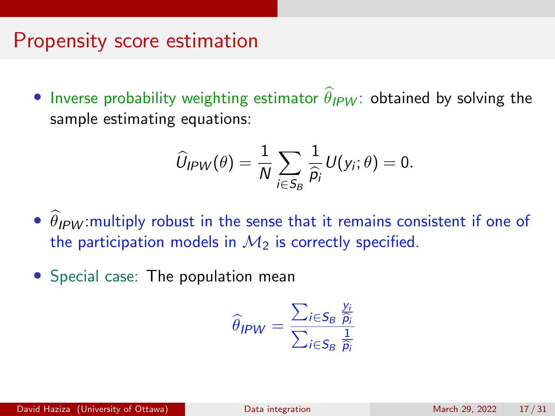#### Propensity score estimation

• Inverse probability weighting estimator  $\theta_{IPW}$ : obtained by solving the sample estimating equations:

$$
\widehat{U}_{IPW}(\theta) = \frac{1}{N} \sum_{i \in S_B} \frac{1}{\widehat{\rho}_i} U(y_i; \theta) = 0.
$$

- $\hat{\theta}_{IPW}$  multiply robust in the sense that it remains consistent if one of the participation models in  $M_2$  is correctly specified.
- Special case: The population mean

$$
\widehat{\theta}_{IPW} = \frac{\sum_{i \in S_B} \frac{y_i}{\widehat{p}_i}}{\sum_{i \in S_B} \frac{1}{\widehat{p}_i}}
$$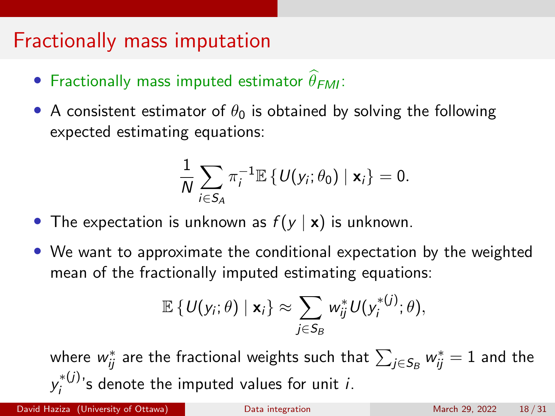### Fractionally mass imputation

- Fractionally mass imputed estimator  $\theta_{FMI}$ :
- A consistent estimator of  $\theta_0$  is obtained by solving the following expected estimating equations:

$$
\frac{1}{N}\sum_{i\in S_A}\pi_i^{-1}\mathbb{E}\left\{\mathsf{U}(y_i;\theta_0)\mid \mathbf{x}_i\right\}=0.
$$

- The expectation is unknown as  $f(y | x)$  is unknown.
- We want to approximate the conditional expectation by the weighted mean of the fractionally imputed estimating equations:

$$
\mathbb{E}\left\{U(\mathsf{y}_i;\theta)\mid \mathbf{x}_i\right\} \approx \sum_{j\in S_B} w_{ij}^* U(\mathsf{y}_i^{*(j)};\theta),
$$

where  $w_{ij}^*$  are the fractional weights such that  $\sum_{j \in \mathcal{S}_B} w_{ij}^* = 1$  and the  $y_i^{*(j)}$  $i_j^{*(U)}$ 's denote the imputed values for unit *i*.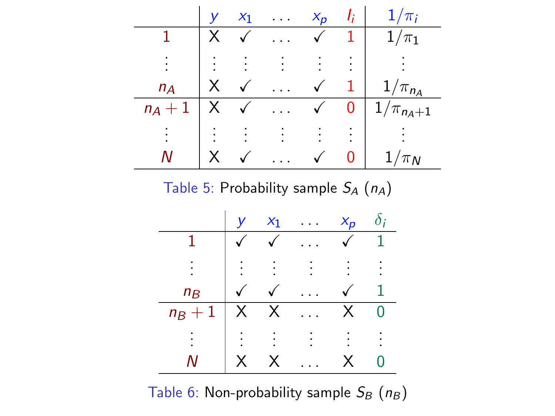

Table 5: Probability sample  $S_A(n_A)$ 



Table 6: Non-probability sample  $S_B(n_B)$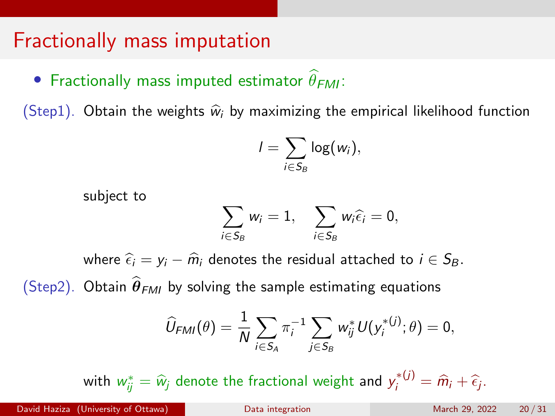### Fractionally mass imputation

• Fractionally mass imputed estimator  $\theta_{FMI}$ :

(Step1). Obtain the weights  $\hat{w}_i$  by maximizing the empirical likelihood function

$$
I=\sum_{i\in S_B}\log(w_i),
$$

subject to

$$
\sum_{i\in S_B} w_i = 1, \quad \sum_{i\in S_B} w_i \widehat{\epsilon_i} = 0,
$$

where  $\hat{\epsilon}_i = y_i - \hat{m}_i$  denotes the residual attached to  $i \in S_B$ . (Step2). Obtain  $\hat{\theta}_{FMI}$  by solving the sample estimating equations

$$
\widehat{U}_{FMI}(\theta) = \frac{1}{N} \sum_{i \in S_A} \pi_i^{-1} \sum_{j \in S_B} w_{ij}^* U(y_i^{*(j)}; \theta) = 0,
$$

with  $w_{ij}^* = \widehat{w}_j$  denote the fractional weight and  $y_i^{*(j)} = \widehat{m}_i + \widehat{\epsilon}_j$ .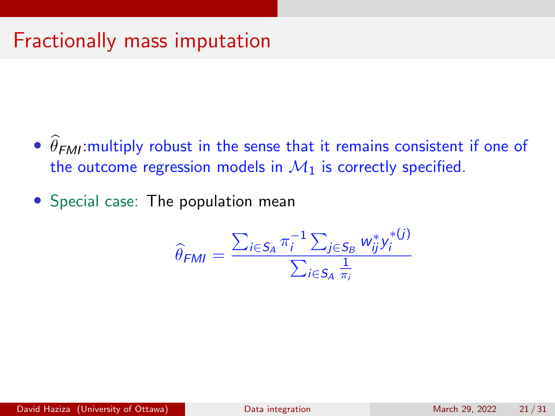# Fractionally mass imputation

- $\theta$ FMI: multiply robust in the sense that it remains consistent if one of the outcome regression models in  $\mathcal{M}_1$  is correctly specified.
- Special case: The population mean

$$
\widehat{\theta}_{FMI} = \frac{\sum_{i \in S_A} \pi_i^{-1} \sum_{j \in S_B} w_{ij}^* y_i^{*(j)}}{\sum_{i \in S_A} \frac{1}{\pi_i}}
$$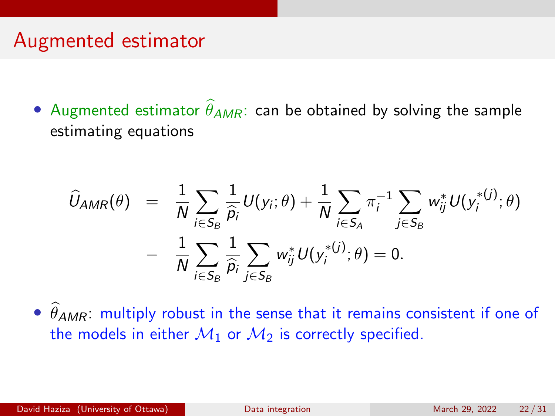### Augmented estimator

• Augmented estimator  $\hat{\theta}_{AMR}$ : can be obtained by solving the sample estimating equations

$$
\begin{array}{lcl} \displaystyle \widehat{U}_{AMR}(\theta) & = & \displaystyle \frac{1}{N}\sum_{i\in S_B}\frac{1}{\widehat{p}_i}U(y_i;\theta)+\frac{1}{N}\sum_{i\in S_A}\pi_i^{-1}\sum_{j\in S_B}w_{ij}^*U(y_i^{*(j)};\theta) \\ & & \displaystyle - & \frac{1}{N}\sum_{i\in S_B}\frac{1}{\widehat{p}_i}\sum_{j\in S_B}w_{ij}^*U(y_i^{*(j)};\theta)=0. \end{array}
$$

 $\hat{\theta}_{AMR}$ : multiply robust in the sense that it remains consistent if one of the models in either  $M_1$  or  $M_2$  is correctly specified.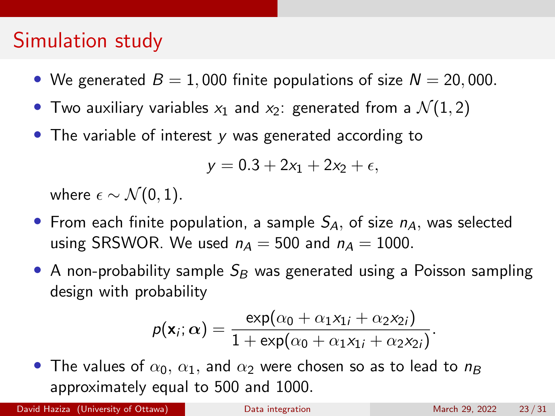- We generated  $B = 1,000$  finite populations of size  $N = 20,000$ .
- Two auxiliary variables  $x_1$  and  $x_2$ : generated from a  $\mathcal{N}(1,2)$
- The variable of interest y was generated according to

$$
y=0.3+2x_1+2x_2+\epsilon,
$$

where  $\epsilon \sim \mathcal{N}(0, 1)$ .

- From each finite population, a sample  $S<sub>A</sub>$ , of size  $n<sub>A</sub>$ , was selected using SRSWOR. We used  $n_A = 500$  and  $n_A = 1000$ .
- A non-probability sample  $S_B$  was generated using a Poisson sampling design with probability

$$
p(\mathbf{x}_i;\alpha) = \frac{\exp(\alpha_0 + \alpha_1x_{1i} + \alpha_2x_{2i})}{1 + \exp(\alpha_0 + \alpha_1x_{1i} + \alpha_2x_{2i})}.
$$

• The values of  $\alpha_0$ ,  $\alpha_1$ , and  $\alpha_2$  were chosen so as to lead to  $n_B$ approximately equal to 500 and 1000.

David Haziza (University of Ottawa) [Data integration](#page-0-0) Data integration March 29, 2022 23/31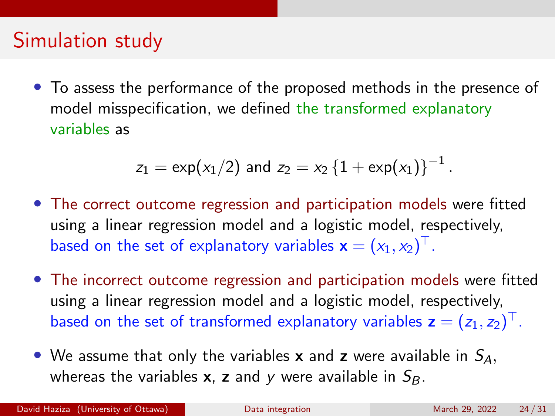• To assess the performance of the proposed methods in the presence of model misspecification, we defined the transformed explanatory variables as

$$
z_1 = \exp(x_1/2) \text{ and } z_2 = x_2 \left\{1 + \exp(x_1)\right\}^{-1}
$$

- The correct outcome regression and participation models were fitted using a linear regression model and a logistic model, respectively, based on the set of explanatory variables  $\mathbf{x}=(x_1,x_2)^\top.$
- The incorrect outcome regression and participation models were fitted using a linear regression model and a logistic model, respectively, based on the set of transformed explanatory variables  $\textbf{z}=(z_1,z_2)^{\top}$ .
- We assume that only the variables **x** and **z** were available in  $S_A$ , whereas the variables **x**, **z** and y were available in  $S_B$ .

.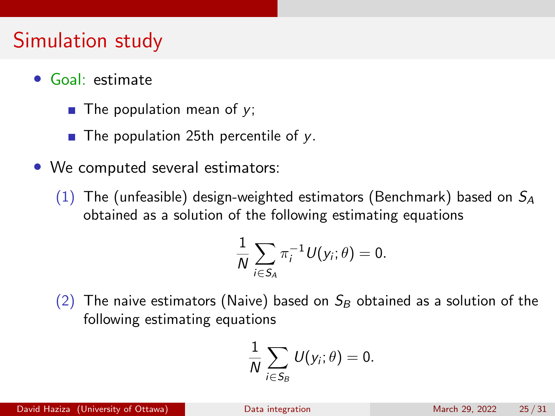- Goal: estimate
	- The population mean of  $y$ ;
	- $\blacksquare$  The population 25th percentile of y.
- We computed several estimators:
	- (1) The (unfeasible) design-weighted estimators (Benchmark) based on  $S_A$ obtained as a solution of the following estimating equations

$$
\frac{1}{N}\sum_{i\in S_A}\pi_i^{-1}U(y_i;\theta)=0.
$$

(2) The naive estimators (Naive) based on  $S_B$  obtained as a solution of the following estimating equations

$$
\frac{1}{N}\sum_{i\in S_B}U(y_i;\theta)=0.
$$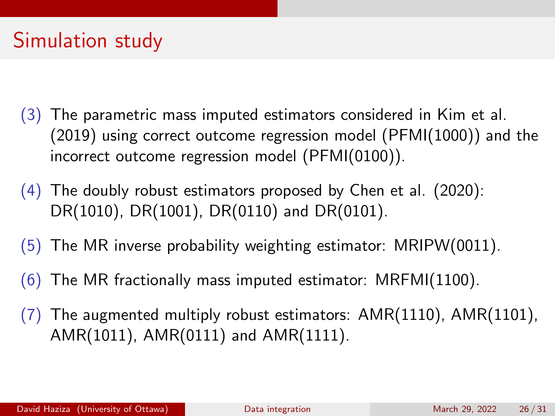- (3) The parametric mass imputed estimators considered in Kim et al. (2019) using correct outcome regression model (PFMI(1000)) and the incorrect outcome regression model (PFMI(0100)).
- $(4)$  The doubly robust estimators proposed by Chen et al. (2020): DR(1010), DR(1001), DR(0110) and DR(0101).
- $(5)$  The MR inverse probability weighting estimator: MRIPW(0011).
- $(6)$  The MR fractionally mass imputed estimator: MRFMI $(1100)$ .
- $(7)$  The augmented multiply robust estimators: AMR $(1110)$ , AMR $(1101)$ , AMR(1011), AMR(0111) and AMR(1111).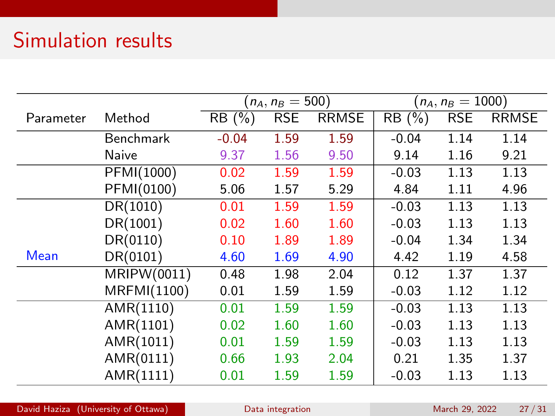# Simulation results

|           |             | $(n_A, n_B = 500)$ |            |              | $(n_A, n_B = 1000)$ |            |              |
|-----------|-------------|--------------------|------------|--------------|---------------------|------------|--------------|
| Parameter | Method      | RB(%)              | <b>RSE</b> | <b>RRMSE</b> | RB(%)               | <b>RSE</b> | <b>RRMSE</b> |
|           | Benchmark   | $-0.04$            | 1.59       | 1.59         | $-0.04$             | 1.14       | 1.14         |
|           | Naive       | 9.37               | 1.56       | 9.50         | 9.14                | 1.16       | 9.21         |
|           | PFMI(1000)  | 0.02               | 1.59       | 1.59         | $-0.03$             | 1.13       | 1.13         |
|           | PFMI(0100)  | 5.06               | 1.57       | 5.29         | 4.84                | 1.11       | 4.96         |
|           | DR(1010)    | 0.01               | 1.59       | 1.59         | $-0.03$             | 1.13       | 1.13         |
|           | DR(1001)    | 0.02               | 1.60       | 1.60         | $-0.03$             | 1.13       | 1.13         |
|           | DR(0110)    | 0.10               | 1.89       | 1.89         | $-0.04$             | 1.34       | 1.34         |
| Mean      | DR(0101)    | 4.60               | 1.69       | 4.90         | 4.42                | 1.19       | 4.58         |
|           | MRIPW(0011) | 0.48               | 1.98       | 2.04         | 0.12                | 1.37       | 1.37         |
|           | MRFMI(1100) | 0.01               | 1.59       | 1.59         | $-0.03$             | 1.12       | 1.12         |
|           | AMR(1110)   | 0.01               | 1.59       | 1.59         | $-0.03$             | 1.13       | 1.13         |
|           | AMR(1101)   | 0.02               | 1.60       | 1.60         | $-0.03$             | 1.13       | 1.13         |
|           | AMR(1011)   | 0.01               | 1.59       | 1.59         | $-0.03$             | 1.13       | 1.13         |
|           | AMR(0111)   | 0.66               | 1.93       | 2.04         | 0.21                | 1.35       | 1.37         |
|           | AMR(1111)   | 0.01               | 1.59       | 1.59         | $-0.03$             | 1.13       | 1.13         |

David Haziza (University of Ottawa) [Data integration](#page-0-0) Data integration March 29, 2022 27/31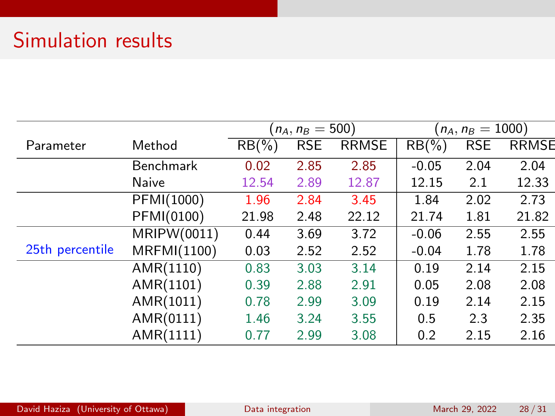# Simulation results

|                 |                  | $(n_A, n_B = 500)$ |            |              | $(n_A, n_B = 1000)$ |            |              |
|-----------------|------------------|--------------------|------------|--------------|---------------------|------------|--------------|
| Parameter       | Method           | $RB(\%)$           | <b>RSE</b> | <b>RRMSE</b> | $RB(\%)$            | <b>RSE</b> | <b>RRMSE</b> |
|                 | <b>Benchmark</b> | 0.02               | 2.85       | 2.85         | $-0.05$             | 2.04       | 2.04         |
|                 | Naive            | 12.54              | 2.89       | 12.87        | 12.15               | 2.1        | 12.33        |
|                 | PFMI(1000)       | 1.96               | 2.84       | 3.45         | 1.84                | 2.02       | 2.73         |
|                 | PFMI(0100)       | 21.98              | 2.48       | 22.12        | 21.74               | 1.81       | 21.82        |
|                 | MRIPW(0011)      | 0.44               | 3.69       | 3.72         | $-0.06$             | 2.55       | 2.55         |
| 25th percentile | MRFMI(1100)      | 0.03               | 2.52       | 2.52         | $-0.04$             | 1.78       | 1.78         |
|                 | AMR(1110)        | 0.83               | 3.03       | 3.14         | 0.19                | 2.14       | 2.15         |
|                 | AMR(1101)        | 0.39               | 2.88       | 2.91         | 0.05                | 2.08       | 2.08         |
|                 | AMR(1011)        | 0.78               | 2.99       | 3.09         | 0.19                | 2.14       | 2.15         |
|                 | AMR(0111)        | 1.46               | 3.24       | 3.55         | 0.5                 | 2.3        | 2.35         |
|                 | AMR(1111)        | 0.77               | 2.99       | 3.08         | 0.2                 | 2.15       | 2.16         |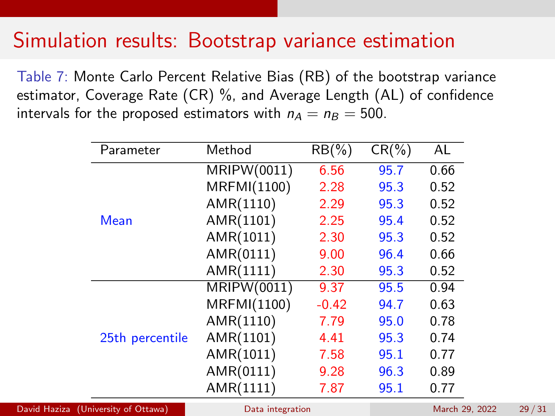### Simulation results: Bootstrap variance estimation

Table 7: Monte Carlo Percent Relative Bias (RB) of the bootstrap variance estimator, Coverage Rate (CR) %, and Average Length (AL) of confidence intervals for the proposed estimators with  $n_A = n_B = 500$ .

| Parameter       | Method             | $RB(\%)$ | $CR(\%)$ | AL   |
|-----------------|--------------------|----------|----------|------|
| Mean            | MRIPW(0011)        | 6.56     | 95.7     | 0.66 |
|                 | MRFMI(1100)        | 2.28     | 95.3     | 0.52 |
|                 | AMR(1110)          | 2.29     | 95.3     | 0.52 |
|                 | AMR(1101)          | 2.25     | 95.4     | 0.52 |
|                 | AMR(1011)          | 2.30     | 95.3     | 0.52 |
|                 | AMR(0111)          | 9.00     | 96.4     | 0.66 |
|                 | AMR(1111)          | 2.30     | 95.3     | 0.52 |
| 25th percentile | <b>MRIPW(0011)</b> | 9.37     | 95.5     | 0.94 |
|                 | MRFMI(1100)        | $-0.42$  | 94.7     | 0.63 |
|                 | AMR(1110)          | 7.79     | 95.0     | 0.78 |
|                 | AMR(1101)          | 4.41     | 95.3     | 0.74 |
|                 | AMR(1011)          | 7.58     | 95.1     | 0.77 |
|                 | AMR(0111)          | 9.28     | 96.3     | 0.89 |
|                 | AMR(1111)          | 7.87     | 95.1     | 0.77 |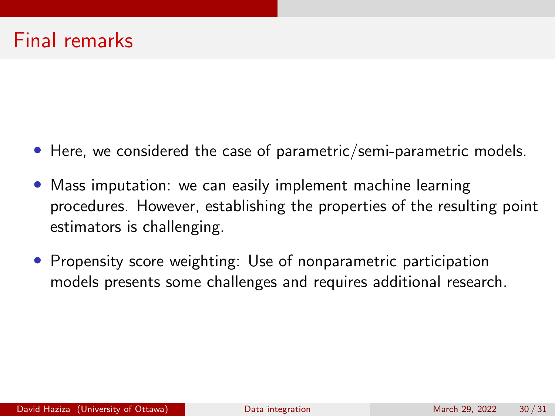### Final remarks

- Here, we considered the case of parametric/semi-parametric models.
- Mass imputation: we can easily implement machine learning procedures. However, establishing the properties of the resulting point estimators is challenging.
- Propensity score weighting: Use of nonparametric participation models presents some challenges and requires additional research.